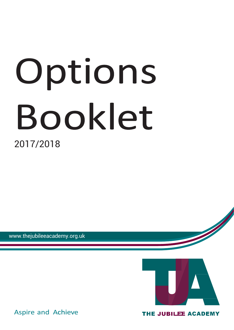# Options Booklet 2017/2018

www.thejubileeacademy.org.uk



Aspire and Achieve

THE JUBILEE ACADEMY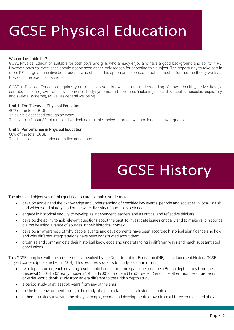# GCSE Physical Education

#### Who is it suitable for?

GCSE Physical Education suitable for both boys and girls who already enjoy and have a good background and ability in PE. However, physical excellence should not be seen as the only reason for choosing this subject. The opportunity to take part in more PE is a great incentive but students who choose this option are expected to put as much effortinto the theory work as they do in the practical sessions.

GCSE in Physical Education requires you to develop your knowledge and understanding of how a healthy, active lifestyle contributes to the growth and development of body systems, and structures (including the cardiovascular, muscular, respiratory and skeletal systems), as well as general wellbeing.

#### Unit 1: The Theory of Physical Education

40% of the total GCSE. This unit is assessed through an exam. The exam is 1 hour 30 minutes and will include multiple choice, short answer and longer-answer questions.

#### Unit 2: Performance in Physical Education

60% of the total GCSE. This unit is assessed under controlled conditions.



The aims and objectives of this qualification are to enable students to:

- develop and extend their knowledge and understanding of specified key events, periods and societies in local, British, and wider world history; and of the wide diversity of human experience
- engage in historical enquiry to develop as independent learners and as critical and reflective thinkers
- develop the ability to ask relevant questions about the past, to investigate issues critically and to make valid historical claims by using a range of sources in their historical context
- develop an awareness of why people, events and developments have been accorded historical significance and how and why different interpretations have been constructed about them
- organise and communicate their historical knowledge and understanding in different ways and reach substantiated conclusions.

This GCSE complies with the requirements specified by the Department for Education (DfE) in its document History GCSE subject content (published April 2014). This requires students to study, as a minimum:

- two depth studies, each covering a substantial and short time span: one must be a British depth study from the medieval (500–1500), early modern (1450–1700) or modern (1750–present) eras, the other must be a European or wider-world depth study from an era different to the British depth study
- a period study of at least 50 years from any of the eras
- the historic environment through the study of a particular site in its historical context
- a thematic study involving the study of people, events and developments drawn from all three eras defined above.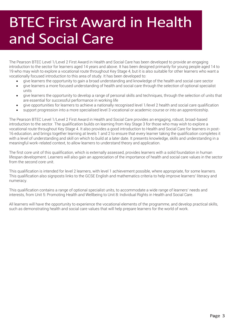### BTEC First Award in Health and Social Care

The Pearson BTEC Level 1/Level 2 First Award in Health and Social Care has been developed to provide an engaging introduction to the sector for learners aged 14 years and above. It has been designed primarily for young people aged 14 to 19 who may wish to explore a vocational route throughout Key Stage 4, but it is also suitable for other learners who want a vocationally focused introduction to this area of study. It has been developed to:

- give learners the opportunity to gain a broad understanding and knowledge of the health and social care sector
- give learners a more focused understanding of health and social care through the selection of optional specialist units
- give learners the opportunity to develop a range of personal skills and techniques, through the selection of units that are essential for successful performance in working life
- give opportunities for learners to achieve a nationally recognised level 1/level 2 health and social care qualification
- support progression into a more specialised level 3 vocational or academic course or into an apprenticeship.

The Pearson BTEC Level 1/Level 2 First Award in Health and Social Care provides an engaging, robust, broad-based introduction to the sector. The qualification builds on learning from Key Stage 3 for those who may wish to explore a vocational route throughout Key Stage 4. It also provides a good introduction to Health and Social Care for learners in post-16 education, and brings together learning at levels 1 and 2 to ensure that every learner taking the qualification completes it with a level of understanding and skill on which to build at a later date. It presents knowledge, skills and understanding in a meaningful work-related context, to allow learners to understand theory and application.

The first core unit of this qualification, which is externally assessed, provides learners with a solid foundation in human lifespan development. Learners will also gain an appreciation of the importance of health and social care values in the sector from the second core unit.

This qualification is intended for level 2 learners, with level 1 achievement possible, where appropriate, for some learners. This qualification also signposts links to the GCSE English and mathematics criteria to help improve learners' literacy and numeracy.

This qualification contains a range of optional specialist units, to accommodate a wide range of learners' needs and interests, from Unit 5: Promoting Health and Wellbeing to Unit 8: Individual Rights in Health and Social Care.

All learners will have the opportunity to experience the vocational elements of the programme, and develop practical skills, such as demonstrating health and social care values that will help prepare learners for the world of work.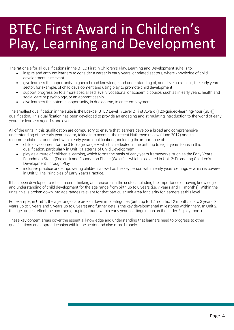### BTEC First Award in Children's Play, Learning and Development

The rationale for all qualifications in the BTEC First in Children's Play, Learning and Development suite is to:

- inspire and enthuse learners to consider a career in early years, or related sectors, where knowledge of child development is relevant
- give learners the opportunity to gain a broad knowledge and understanding of, and develop skills in, the early years sector, for example, of child development and using play to promote child development
- support progression to a more specialised level 3 vocational or academic course, such as in early years, health and social care or psychology, or an apprenticeship
- give learners the potential opportunity, in due course, to enter employment.

The smallest qualification in the suite is the Edexcel BTEC Level 1/Level 2 First Award (120-guided-learning-hour (GLH)) qualification. This qualification has been developed to provide an engaging and stimulating introduction to the world of early years for learners aged 14 and over.

All of the units in this qualification are compulsory to ensure that learners develop a broad and comprehensive understanding of the early years sector, taking into account the recent Nutbrown review (June 2012) and its recommendations for content within early years qualifications, including the importance of:

- child development for the 0 to 7 age range which is reflected in the birth up to eight years focus in this qualification, particularly in Unit 1: Patterns of Child Development
- play as a route of children's learning, which forms the basis of early years frameworks, such as the Early Years Foundation Stage (England) and Foundation Phase (Wales) – which is covered in Unit 2: Promoting Children's Development Through Play
- inclusive practice and empowering children, as well as the key person within early years settings which is covered in Unit 3: The Principles of Early Years Practice.

It has been developed to reflect recent thinking and research in the sector, including the importance of having knowledge and understanding of child development for the age range from birth up to 8 years (i.e. 7 years and 11 months). Within the units, this is broken down into age ranges relevant for that particular unit area for clarity for learners at this level.

For example, in Unit 1, the age ranges are broken down into categories (birth up to 12 months, 12 months up to 3 years, 3 years up to 5 years and 5 years up to 8 years) and further details the key developmental milestones within them. In Unit 2, the age ranges reflect the common groupings found within early years settings (such as the under 2s play room).

These key content areas cover the essential knowledge and understanding that learners need to progress to other qualifications and apprenticeships within the sector and also more broadly.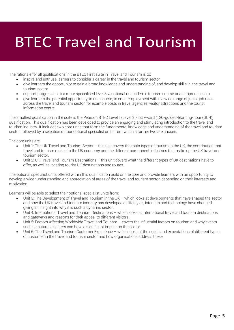# BTEC Travel and Tourism

The rationale for all qualifications in the BTEC First suite in Travel and Tourism is to:

- inspire and enthuse learners to consider a career in the travel and tourism sector
- give learners the opportunity to gain a broad knowledge and understanding of, and develop skills in, the travel and tourism sector
- support progression to a more specialised level 3 vocational or academic tourism course or an apprenticeship
- give learners the potential opportunity, in due course, to enter employment within a wide range of junior job roles across the travel and tourism sector, for example posts in travel agencies, visitor attractions and the tourist information centre.

The smallest qualification in the suite is the Pearson BTEC Level 1/Level 2 First Award (120-guided-learning-hour (GLH)) qualification. This qualification has been developed to provide an engaging and stimulating introduction to the travel and tourism industry. It includes two core units that form the fundamental knowledge and understanding of the travel and tourism sector, followed by a selection of four optional specialist units from which a further two are chosen.

The core units are:

 $\overline{\phantom{a}}$ 

- Unit 1: The UK Travel and Tourism Sector this unit covers the main types of tourism in the UK, the contribution that travel and tourism makes to the UK economy and the different component industries that make up the UK travel and tourism sector.
- Unit 2: UK Travel and Tourism Destinations this unit covers what the different types of UK destinations have to offer, as well as locating tourist UK destinations and routes.

The optional specialist units offered within this qualification build on the core and provide learners with an opportunity to develop a wider understanding and appreciation of areas of the travel and tourism sector, depending on their interests and motivation.

Learners will be able to select their optional specialist units from:

- Unit 3: The Development of Travel and Tourism in the UK which looks at developments that have shaped the sector and how the UK travel and tourism industry has developed as lifestyles, interests and technology have changed, giving an insight into why it is such a dynamic sector.
- Unit 4: International Travel and Tourism Destinations which looks at international travel and tourism destinations and gateways and reasons for their appeal to different visitors.
- Unit 5: Factors Affecting Worldwide Travel and Tourism covers the influential factors on tourism and why events such as natural disasters can have a significant impact on the sector.
- Unit 6: The Travel and Tourism Customer Experience which looks at the needs and expectations of different types of customer in the travel and tourism sector and how organisations address these.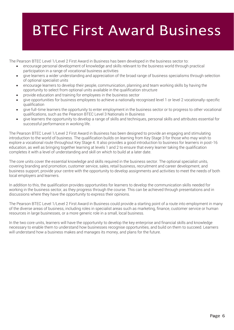### BTEC First Award Business

The Pearson BTEC Level 1/Level 2 First Award in Business has been developed in the business sector to:

- encourage personal development of knowledge and skills relevant to the business world through practical participation in a range of vocational business activities
- give learners a wider understanding and appreciation of the broad range of business specialisms through selection of optional specialist units
- encourage learners to develop their people, communication, planning and team working skills by having the opportunity to select from optional units available in the qualification structure
- provide education and training for employees in the business sector
- give opportunities for business employees to achieve a nationally recognised level 1 or level 2 vocationally-specific qualification
- give full-time learners the opportunity to enter employment in the business sector or to progress to other vocational qualifications, such as the Pearson BTEC Level 3 Nationals in Business
- give learners the opportunity to develop a range of skills and techniques, personal skills and attributes essential for successful performance in working life.

The Pearson BTEC Level 1/Level 2 First Award in Business has been designed to provide an engaging and stimulating introduction to the world of business. The qualification builds on learning from Key Stage 3 for those who may wish to explore a vocational route throughout Key Stage 4. It also provides a good introduction to business for learners in post-16 education, as well as bringing together learning at levels 1 and 2 to ensure that every learner taking the qualification completes it with a level of understanding and skill on which to build at a later date.

The core units cover the essential knowledge and skills required in the business sector. The optional specialist units, covering branding and promotion, customer service, sales, retail business, recruitment and career development, and business support, provide your centre with the opportunity to develop assignments and activities to meet the needs of both local employers and learners.

In addition to this, the qualification provides opportunities for learners to develop the communication skills needed for working in the business sector, as they progress through the course. This can be achieved through presentations and in discussions where they have the opportunity to express their opinions.

The Pearson BTEC Level 1/Level 2 First Award in Business could provide a starting point of a route into employment in many of the diverse areas of business, including roles in specialist areas such as marketing, finance, customer service or human resources in large businesses, or a more generic role in a small, local business.

In the two core units, learners will have the opportunity to develop the key enterprise and financial skills and knowledge necessary to enable them to understand how businesses recognise opportunities, and build on them to succeed. Learners will understand how a business makes and manages its money, and plans for the future.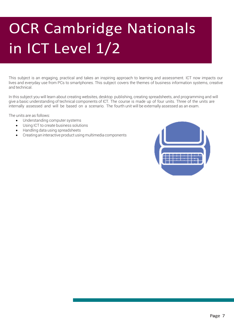# OCR Cambridge Nationals in ICT Level 1/2

This subject is an engaging, practical and takes an inspiring approach to learning and assessment. ICT now impacts our lives and everyday use from PCs to smartphones. This subject covers the themes of business information systems, creative and technical.

In this subject you will learn about creating websites, desktop publishing, creating spreadsheets, and programming and will give a basic understanding of technical components of ICT. The course is made up of four units. Three of the units are internally assessed and will be based on a scenario. The fourth unit will be externally assessed as an exam.

The units are as follows:

- Understanding computer systems
- Using ICT to create business solutions
- Handling data using spreadsheets
- Creating an interactive product using multimedia components